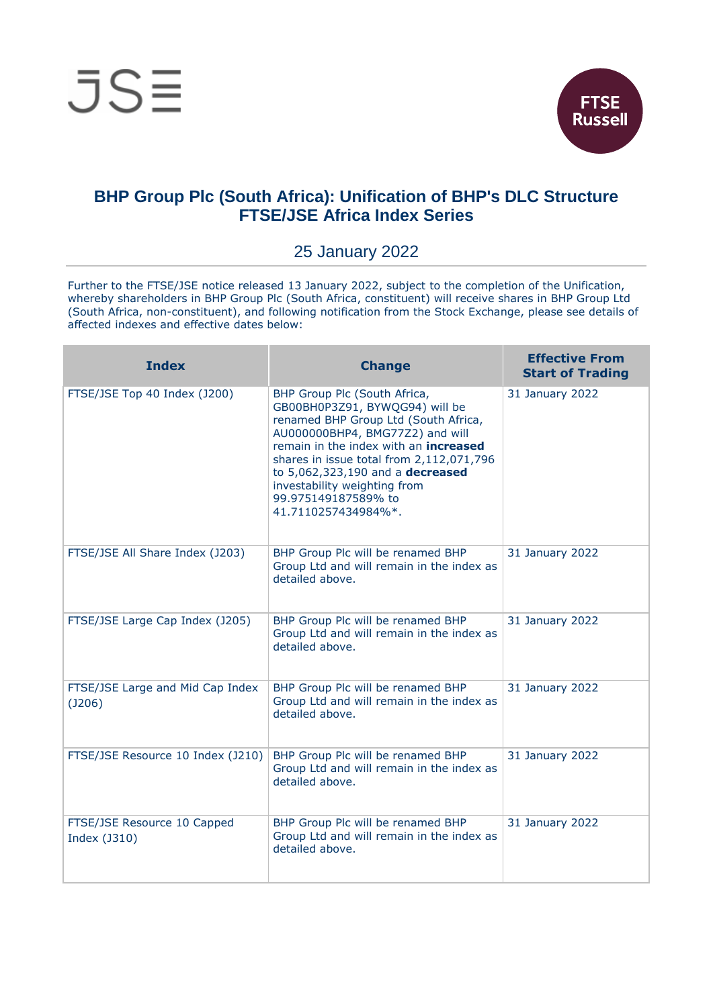

## **BHP Group Plc (South Africa): Unification of BHP's DLC Structure FTSE/JSE Africa Index Series**

## 25 January 2022

Further to the FTSE/JSE notice released 13 January 2022, subject to the completion of the Unification, whereby shareholders in BHP Group Plc (South Africa, constituent) will receive shares in BHP Group Ltd (South Africa, non-constituent), and following notification from the Stock Exchange, please see details of affected indexes and effective dates below:

| <b>Index</b>                                | <b>Change</b>                                                                                                                                                                                                                                                                                                                                           | <b>Effective From</b><br><b>Start of Trading</b> |
|---------------------------------------------|---------------------------------------------------------------------------------------------------------------------------------------------------------------------------------------------------------------------------------------------------------------------------------------------------------------------------------------------------------|--------------------------------------------------|
| FTSE/JSE Top 40 Index (J200)                | BHP Group Plc (South Africa,<br>GB00BH0P3Z91, BYWQG94) will be<br>renamed BHP Group Ltd (South Africa,<br>AU000000BHP4, BMG77Z2) and will<br>remain in the index with an <b>increased</b><br>shares in issue total from 2,112,071,796<br>to 5,062,323,190 and a decreased<br>investability weighting from<br>99.975149187589% to<br>41.7110257434984%*. | 31 January 2022                                  |
| FTSE/JSE All Share Index (J203)             | BHP Group Plc will be renamed BHP<br>Group Ltd and will remain in the index as<br>detailed above.                                                                                                                                                                                                                                                       | 31 January 2022                                  |
| FTSE/JSE Large Cap Index (J205)             | BHP Group Plc will be renamed BHP<br>Group Ltd and will remain in the index as<br>detailed above.                                                                                                                                                                                                                                                       | 31 January 2022                                  |
| FTSE/JSE Large and Mid Cap Index<br>(J206)  | BHP Group Plc will be renamed BHP<br>Group Ltd and will remain in the index as<br>detailed above.                                                                                                                                                                                                                                                       | 31 January 2022                                  |
| FTSE/JSE Resource 10 Index (J210)           | BHP Group Plc will be renamed BHP<br>Group Ltd and will remain in the index as<br>detailed above.                                                                                                                                                                                                                                                       | 31 January 2022                                  |
| FTSE/JSE Resource 10 Capped<br>Index (J310) | BHP Group Plc will be renamed BHP<br>Group Ltd and will remain in the index as<br>detailed above.                                                                                                                                                                                                                                                       | 31 January 2022                                  |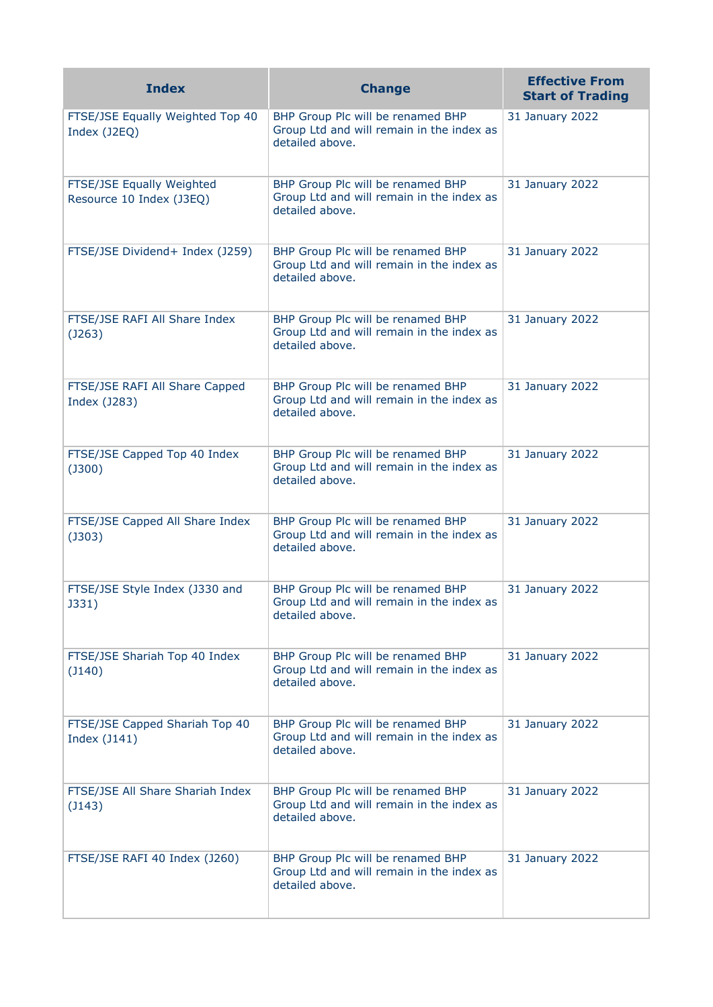| <b>Index</b>                                          | <b>Change</b>                                                                                     | <b>Effective From</b><br><b>Start of Trading</b> |
|-------------------------------------------------------|---------------------------------------------------------------------------------------------------|--------------------------------------------------|
| FTSE/JSE Equally Weighted Top 40<br>Index (J2EQ)      | BHP Group Plc will be renamed BHP<br>Group Ltd and will remain in the index as<br>detailed above. | 31 January 2022                                  |
| FTSE/JSE Equally Weighted<br>Resource 10 Index (J3EQ) | BHP Group Plc will be renamed BHP<br>Group Ltd and will remain in the index as<br>detailed above. | 31 January 2022                                  |
| FTSE/JSE Dividend+ Index (J259)                       | BHP Group Plc will be renamed BHP<br>Group Ltd and will remain in the index as<br>detailed above. | 31 January 2022                                  |
| FTSE/JSE RAFI All Share Index<br>(J263)               | BHP Group Plc will be renamed BHP<br>Group Ltd and will remain in the index as<br>detailed above. | 31 January 2022                                  |
| FTSE/JSE RAFI All Share Capped<br>Index (J283)        | BHP Group Plc will be renamed BHP<br>Group Ltd and will remain in the index as<br>detailed above. | 31 January 2022                                  |
| FTSE/JSE Capped Top 40 Index<br>$($ J300 $)$          | BHP Group Plc will be renamed BHP<br>Group Ltd and will remain in the index as<br>detailed above. | 31 January 2022                                  |
| FTSE/JSE Capped All Share Index<br>$($ J303 $)$       | BHP Group Plc will be renamed BHP<br>Group Ltd and will remain in the index as<br>detailed above. | 31 January 2022                                  |
| FTSE/JSE Style Index (J330 and<br>J331)               | BHP Group Plc will be renamed BHP<br>Group Ltd and will remain in the index as<br>detailed above. | 31 January 2022                                  |
| FTSE/JSE Shariah Top 40 Index<br>$($ $140)$           | BHP Group Plc will be renamed BHP<br>Group Ltd and will remain in the index as<br>detailed above. | 31 January 2022                                  |
| FTSE/JSE Capped Shariah Top 40<br>Index (J141)        | BHP Group Plc will be renamed BHP<br>Group Ltd and will remain in the index as<br>detailed above. | 31 January 2022                                  |
| FTSE/JSE All Share Shariah Index<br>$($ J143 $)$      | BHP Group Plc will be renamed BHP<br>Group Ltd and will remain in the index as<br>detailed above. | 31 January 2022                                  |
| FTSE/JSE RAFI 40 Index (J260)                         | BHP Group Plc will be renamed BHP<br>Group Ltd and will remain in the index as<br>detailed above. | 31 January 2022                                  |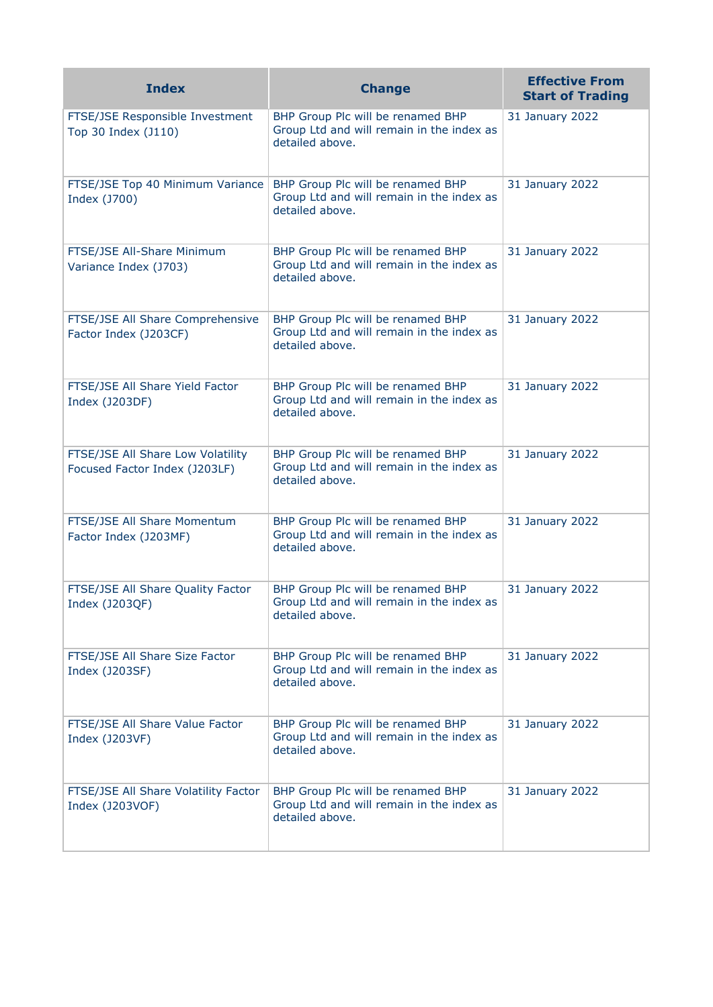| <b>Index</b>                                                       | <b>Change</b>                                                                                     | <b>Effective From</b><br><b>Start of Trading</b> |
|--------------------------------------------------------------------|---------------------------------------------------------------------------------------------------|--------------------------------------------------|
| FTSE/JSE Responsible Investment<br>Top 30 Index (J110)             | BHP Group Plc will be renamed BHP<br>Group Ltd and will remain in the index as<br>detailed above. | 31 January 2022                                  |
| FTSE/JSE Top 40 Minimum Variance<br>Index (J700)                   | BHP Group Plc will be renamed BHP<br>Group Ltd and will remain in the index as<br>detailed above. | 31 January 2022                                  |
| FTSE/JSE All-Share Minimum<br>Variance Index (J703)                | BHP Group Plc will be renamed BHP<br>Group Ltd and will remain in the index as<br>detailed above. | 31 January 2022                                  |
| FTSE/JSE All Share Comprehensive<br>Factor Index (J203CF)          | BHP Group Plc will be renamed BHP<br>Group Ltd and will remain in the index as<br>detailed above. | 31 January 2022                                  |
| FTSE/JSE All Share Yield Factor<br>Index (J203DF)                  | BHP Group Plc will be renamed BHP<br>Group Ltd and will remain in the index as<br>detailed above. | 31 January 2022                                  |
| FTSE/JSE All Share Low Volatility<br>Focused Factor Index (J203LF) | BHP Group Plc will be renamed BHP<br>Group Ltd and will remain in the index as<br>detailed above. | 31 January 2022                                  |
| FTSE/JSE All Share Momentum<br>Factor Index (J203MF)               | BHP Group Plc will be renamed BHP<br>Group Ltd and will remain in the index as<br>detailed above. | 31 January 2022                                  |
| FTSE/JSE All Share Quality Factor<br>Index (J203QF)                | BHP Group Plc will be renamed BHP<br>Group Ltd and will remain in the index as<br>detailed above. | 31 January 2022                                  |
| FTSE/JSE All Share Size Factor<br>Index (J203SF)                   | BHP Group Plc will be renamed BHP<br>Group Ltd and will remain in the index as<br>detailed above. | 31 January 2022                                  |
| FTSE/JSE All Share Value Factor<br>Index (J203VF)                  | BHP Group Plc will be renamed BHP<br>Group Ltd and will remain in the index as<br>detailed above. | 31 January 2022                                  |
| FTSE/JSE All Share Volatility Factor<br>Index (J203VOF)            | BHP Group Plc will be renamed BHP<br>Group Ltd and will remain in the index as<br>detailed above. | 31 January 2022                                  |